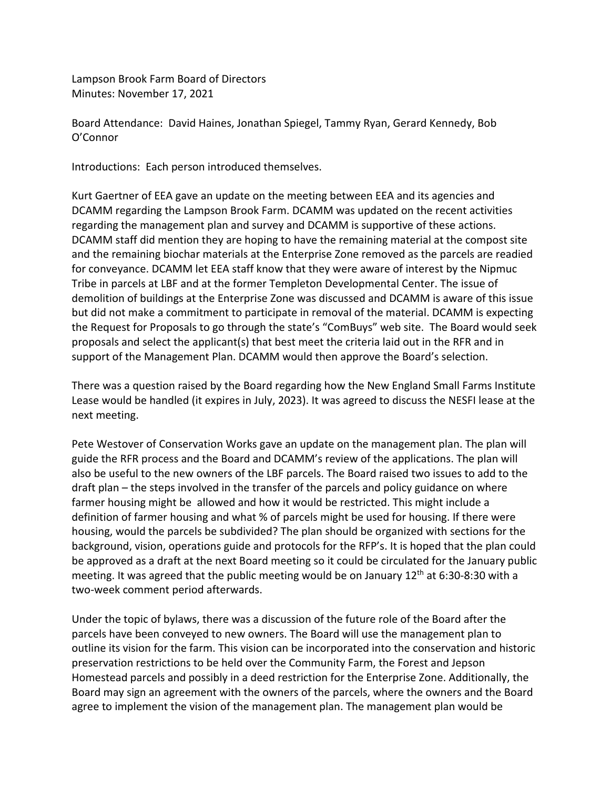Lampson Brook Farm Board of Directors Minutes: November 17, 2021

Board Attendance: David Haines, Jonathan Spiegel, Tammy Ryan, Gerard Kennedy, Bob O'Connor

Introductions: Each person introduced themselves.

Kurt Gaertner of EEA gave an update on the meeting between EEA and its agencies and DCAMM regarding the Lampson Brook Farm. DCAMM was updated on the recent activities regarding the management plan and survey and DCAMM is supportive of these actions. DCAMM staff did mention they are hoping to have the remaining material at the compost site and the remaining biochar materials at the Enterprise Zone removed as the parcels are readied for conveyance. DCAMM let EEA staff know that they were aware of interest by the Nipmuc Tribe in parcels at LBF and at the former Templeton Developmental Center. The issue of demolition of buildings at the Enterprise Zone was discussed and DCAMM is aware of this issue but did not make a commitment to participate in removal of the material. DCAMM is expecting the Request for Proposals to go through the state's "ComBuys" web site. The Board would seek proposals and select the applicant(s) that best meet the criteria laid out in the RFR and in support of the Management Plan. DCAMM would then approve the Board's selection.

There was a question raised by the Board regarding how the New England Small Farms Institute Lease would be handled (it expires in July, 2023). It was agreed to discuss the NESFI lease at the next meeting.

Pete Westover of Conservation Works gave an update on the management plan. The plan will guide the RFR process and the Board and DCAMM's review of the applications. The plan will also be useful to the new owners of the LBF parcels. The Board raised two issues to add to the draft plan – the steps involved in the transfer of the parcels and policy guidance on where farmer housing might be allowed and how it would be restricted. This might include a definition of farmer housing and what % of parcels might be used for housing. If there were housing, would the parcels be subdivided? The plan should be organized with sections for the background, vision, operations guide and protocols for the RFP's. It is hoped that the plan could be approved as a draft at the next Board meeting so it could be circulated for the January public meeting. It was agreed that the public meeting would be on January  $12<sup>th</sup>$  at 6:30-8:30 with a two-week comment period afterwards.

Under the topic of bylaws, there was a discussion of the future role of the Board after the parcels have been conveyed to new owners. The Board will use the management plan to outline its vision for the farm. This vision can be incorporated into the conservation and historic preservation restrictions to be held over the Community Farm, the Forest and Jepson Homestead parcels and possibly in a deed restriction for the Enterprise Zone. Additionally, the Board may sign an agreement with the owners of the parcels, where the owners and the Board agree to implement the vision of the management plan. The management plan would be